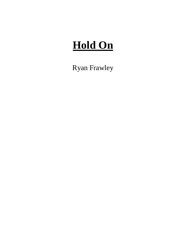# **Hold On**

Ryan Frawley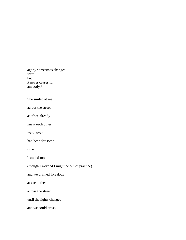agony sometimes changes form but it never ceases for anybody.\*

### She smiled at me

across the street

as if we already

knew each other

were lovers

had been for some

time.

I smiled too

(though I worried I might be out of practice)

and we grinned like dogs

at each other

across the street

until the lights changed

and we could cross.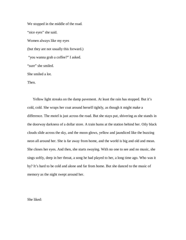We stopped in the middle of the road. "nice eyes" she said. Women always like my eyes (but they are not usually this forward.) "you wanna grab a coffee?" I asked. "sure" she smiled. She smiled a lot. Then.

Yellow light streaks on the damp pavement. At least the rain has stopped. But it's cold, cold. She wraps her coat around herself tightly, as though it might make a difference. The motel is just across the road. But she stays put, shivering as she stands in the doorway darkness of a dollar store. A train hums at the station behind her. Oily black clouds slide across the sky, and the moon glows, yellow and jaundiced like the buzzing neon all around her. She is far away from home, and the world is big and old and mean. She closes her eyes. And then, she starts swaying. With no one to see and no music, she sings softly, deep in her throat, a song he had played to her, a long time ago. Who was it by? It's hard to be cold and alone and far from home. But she danced to the music of memory as the night swept around her.

She liked: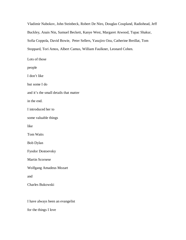Vladimir Nabokov, John Steinbeck, Robert De Niro, Douglas Coupland, Radiohead, Jeff Buckley, Anais Nin, Samuel Beckett, Kanye West, Margaret Atwood, Tupac Shakur, Sofia Coppola, David Bowie, Peter Sellers, Yasujiro Ozu, Catherine Breillat, Tom Stoppard, Tori Amos, Albert Camus, William Faulkner, Leonard Cohen.

Lots of those people I don't like but some I do and it's the small details that matter in the end. I introduced her to some valuable things like Tom Waits Bob Dylan Fyodor Dostoevsky Martin Scorsese Wolfgang Amadeus Mozart and Charles Bukowski

I have always been an evangelist

for the things I love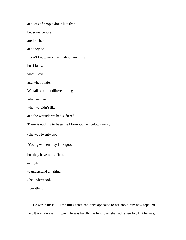and lots of people don't like that but some people are like her and they do. I don't know very much about anything but I know what I love and what I hate. We talked about different things what we liked what we didn't like and the wounds we had suffered. There is nothing to be gained from women below twenty (she was twenty two) Young women may look good but they have not suffered enough to understand anything. She understood. Everything.

He was a mess. All the things that had once appealed to her about him now repelled her. It was always this way. He was hardly the first loser she had fallen for. But he was,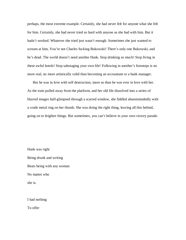perhaps, the most extreme example. Certainly, she had never felt for anyone what she felt for him. Certainly, she had never tried so hard with anyone as she had with him. But it hadn't worked. Whatever she tried just wasn't enough. Sometimes she just wanted to scream at him, You're not Charles fucking Bukowski! There's only one Bukowski, and he's dead. The world doesn't need another Hank. Stop drinking so much! Stop living in these awful hotels! Stop sabotaging your own life! Following in another's footsteps is no more real, no more artistically valid than becoming an accountant or a bank manager.

But he was in love with self destruction, more so than he was ever in love with her. As the train pulled away from the platform, and her old life dissolved into a series of blurred images half-glimpsed through a scarred window, she fiddled absentmindedly with a crude metal ring on her thumb. She was doing the right thing, leaving all this behind, going on to brighter things. But sometimes, you can't believe in your own victory parade.

Hank was right Being drunk and writing Beats being with any woman No matter who she is.

I had nothing

To offer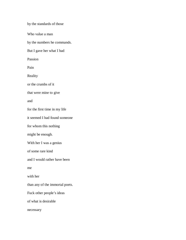by the standards of those

Who value a man

by the numbers he commands.

But I gave her what I had

Passion

Pain

Reality

or the crumbs of it

that were mine to give

and

for the first time in my life

it seemed I had found someone

for whom this nothing

might be enough.

With her I was a genius

of some rare kind

and I would rather have been

me

with her

than any of the immortal poets.

Fuck other people's ideas

of what is desirable

necessary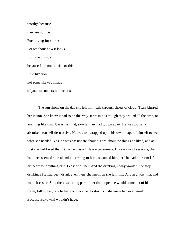worthy, because they are not me. Fuck living for stories Forget about how it looks from the outside because I am not outside of this. Live like you not some skewed image of your misunderstood heroes.

The sun shone on the day she left him, pale through sheets of cloud. Tears blurred her vision. She knew it had to be this way. It wasn't as though they argued all the time, or anything like that. It was just that, slowly, they had grown apart. He was too selfabsorbed, too self-destructive. He was too wrapped up in his own image of himself to see what she needed. Yes, he was passionate about his art, about the things he liked, and at first she had loved that. But – he was a little *too* passionate. His various obsessions, that had once seemed so real and interesting to her, consumed him until he had no room left in his heart for anything else. Least of all her. And the drinking – why wouldn't he stop drinking? He had been drunk even then, she knew, as she left him. And in a way, that had made it easier. Still, there was a big part of her that hoped he would come out of his room, follow her, talk to her, convince her to stay. But she knew he never would. Because Bukowski wouldn't have.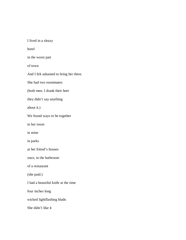I lived in a sleazy

hotel

in the worst part

of town

And I felt ashamed to bring her there.

She had two roommates

(both men. I drank their beer

they didn't say anything

about it.)

We found ways to be together

in her room

in mine

in parks

at her friend's houses

once, in the bathroom

of a restaurant

(she paid.)

I had a beautiful knife at the time

four inches long

wicked lightflashing blade.

She didn't like it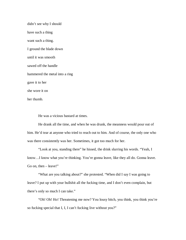didn't see why I should have such a thing want such a thing. I ground the blade down until it was smooth sawed off the handle hammered the metal into a ring gave it to her she wore it on her thumb.

He was a vicious bastard at times.

He drank all the time, and when he was drunk, the meanness would pour out of him. He'd tear at anyone who tried to reach out to him. And of course, the only one who was there consistently was her. Sometimes, it got too much for her.

"Look at you, standing there" he hissed, the drink slurring his words. "Yeah, I know…I know what you're thinking. You're gonna leave, like they all do. Gonna leave. Go on, then  $-$  leave!"

"What are you talking about?" she protested. "When did I say I was going to leave? I put up with your bullshit all the fucking time, and I don't even complain, but there's only so much I can take."

"Oh! Oh! Ho! Threatening me now? You lousy bitch, you think, you think you're so fucking special that I, I, I can't fucking live without you?"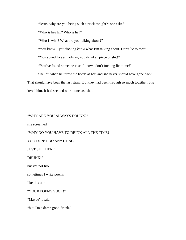"Jesus, why are you being such a prick tonight?" she asked.

"Who is he? Eh? Who is he?"

"Who is who? What are you talking about?"

"You know…you fucking *know* what I'm talking about. Don't lie to me!"

"You sound like a madman, you drunken piece of shit!"

"You've found someone else. I know...don't fucking lie to me!"

She left when he threw the bottle at her, and she never should have gone back.

That should have been the last straw. But they had been through so much together. She

loved him. It had seemed worth one last shot.

## "WHY ARE YOU ALWAYS DRUNK?"

she screamed

"WHY DO YOU HAVE TO DRINK ALL THE TIME?

### YOU DON'T *DO* ANYTHING

JUST SIT THERE

DRUNK!"

but it's not true

sometimes I write poems

like this one

"YOUR POEMS SUCK!"

"Maybe" I said

"but I'm a damn good drunk."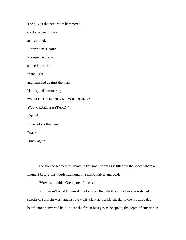The guy in the next room hammered

on the paper-thin wall

and shouted.

I threw a beer bottle

it looped in the air

shone like a fish

in the light

and smashed against the wall.

He stopped hammering.

"WHAT THE FUCK ARE YOU DOING?

YOU CRAZY BASTARD!"

She left.

I opened another beer

Drank

Drank again.

The silence seemed to vibrate in the small room as it filled up the space where a moment before, his words had hung in a rain of silver and gold.

"Wow" she said. "Great poem" she said.

But it wasn't what Bukowski had written that she thought of as she watched streaks of sunlight wash against the walls, slant across his cheek, kindle his three day beard into an inverted halo. It was the fire in his eyes as he spoke, the depth of emotion in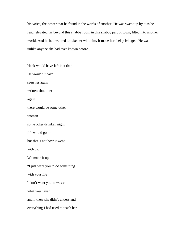his voice, the power that he found in the words of another. He was swept up by it as he read, elevated far beyond this shabby room in this shabby part of town, lifted into another world. And he had wanted to take her with him. It made her feel privileged. He was unlike anyone she had ever known before.

Hank would have left it at that He wouldn't have seen her again written about her again there would be some other woman some other drunken night life would go on but that's not how it went with us. We made it up "I just want you to *do* something with your life I don't want you to waste what you have" and I knew she didn't understand everything I had tried to teach her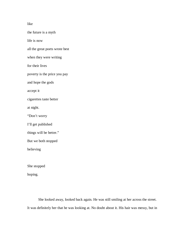## like

the future is a myth life is now all the great poets wrote best when they were writing for their lives poverty is the price you pay and hope the gods accept it cigarettes taste better at night. "Don't worry I'll get published things will be better." But we both stopped believing She stopped hoping.

She looked away, looked back again. He was still smiling at her across the street. It was definitely her that he was looking at. No doubt about it. His hair was messy, but in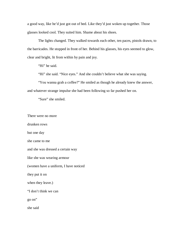a good way, like he'd just got out of bed. Like they'd just woken up together. Those glasses looked cool. They suited him. Shame about his shoes.

The lights changed. They walked towards each other, ten paces, pistols drawn, to the barricades. He stopped in front of her. Behind his glasses, his eyes seemed to glow, clear and bright, lit from within by pain and joy.

"Hi" he said.

"Hi" she said. "Nice eyes." And she couldn't believe what she was saying.

"You wanna grab a coffee?" He smiled as though he already knew the answer, and whatever strange impulse she had been following so far pushed her on.

"Sure" she smiled.

There were no more

drunken rows

but one day

she came to me

and she was dressed a certain way

like she was wearing armour

(women have a uniform, I have noticed

they put it on

when they leave.)

"I don't think we can

go on"

she said